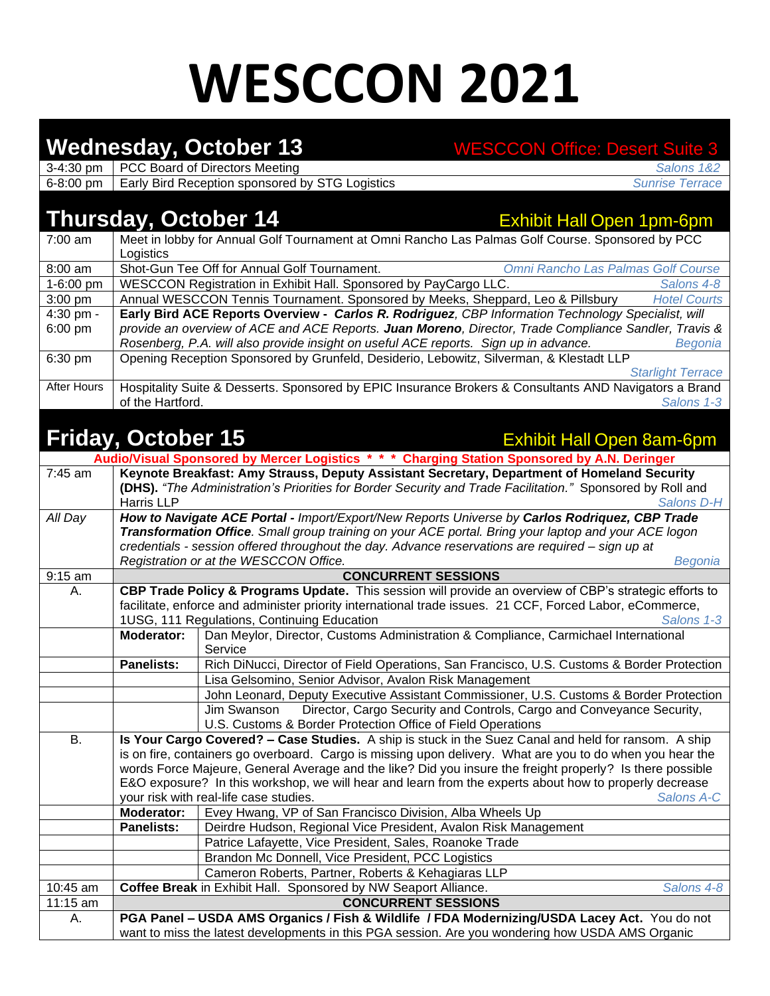## **WESCCON 2021**

|                        |                                                                                                                                                                                                                   | <b>Wednesday, October 13</b>                                                                                                                                                                           | <b>WESCCON Office: Desert Suite 3</b>                                                                                                                                                       |  |  |  |
|------------------------|-------------------------------------------------------------------------------------------------------------------------------------------------------------------------------------------------------------------|--------------------------------------------------------------------------------------------------------------------------------------------------------------------------------------------------------|---------------------------------------------------------------------------------------------------------------------------------------------------------------------------------------------|--|--|--|
| 3-4:30 pm              |                                                                                                                                                                                                                   | PCC Board of Directors Meeting                                                                                                                                                                         | Salons 1&2                                                                                                                                                                                  |  |  |  |
| 6-8:00 pm              |                                                                                                                                                                                                                   | Early Bird Reception sponsored by STG Logistics                                                                                                                                                        | <b>Sunrise Terrace</b>                                                                                                                                                                      |  |  |  |
|                        |                                                                                                                                                                                                                   |                                                                                                                                                                                                        |                                                                                                                                                                                             |  |  |  |
|                        | Thursday, October 14                                                                                                                                                                                              |                                                                                                                                                                                                        | <b>Exhibit Hall Open 1pm-6pm</b>                                                                                                                                                            |  |  |  |
| 7:00 am                |                                                                                                                                                                                                                   |                                                                                                                                                                                                        | Meet in lobby for Annual Golf Tournament at Omni Rancho Las Palmas Golf Course. Sponsored by PCC                                                                                            |  |  |  |
|                        | Logistics                                                                                                                                                                                                         | Shot-Gun Tee Off for Annual Golf Tournament.                                                                                                                                                           | Omni Rancho Las Palmas Golf Course                                                                                                                                                          |  |  |  |
| $8:00$ am<br>1-6:00 pm |                                                                                                                                                                                                                   |                                                                                                                                                                                                        | Salons 4-8                                                                                                                                                                                  |  |  |  |
| $3:00$ pm              |                                                                                                                                                                                                                   | WESCCON Registration in Exhibit Hall. Sponsored by PayCargo LLC.                                                                                                                                       |                                                                                                                                                                                             |  |  |  |
| 4:30 pm -              | Annual WESCCON Tennis Tournament. Sponsored by Meeks, Sheppard, Leo & Pillsbury<br><b>Hotel Courts</b><br>Early Bird ACE Reports Overview - Carlos R. Rodriguez, CBP Information Technology Specialist, will      |                                                                                                                                                                                                        |                                                                                                                                                                                             |  |  |  |
| $6:00$ pm              |                                                                                                                                                                                                                   |                                                                                                                                                                                                        | provide an overview of ACE and ACE Reports. Juan Moreno, Director, Trade Compliance Sandler, Travis &                                                                                       |  |  |  |
|                        |                                                                                                                                                                                                                   |                                                                                                                                                                                                        | Rosenberg, P.A. will also provide insight on useful ACE reports. Sign up in advance.<br>Begonia                                                                                             |  |  |  |
| 6:30 pm                |                                                                                                                                                                                                                   |                                                                                                                                                                                                        | Opening Reception Sponsored by Grunfeld, Desiderio, Lebowitz, Silverman, & Klestadt LLP                                                                                                     |  |  |  |
|                        |                                                                                                                                                                                                                   |                                                                                                                                                                                                        | <b>Starlight Terrace</b>                                                                                                                                                                    |  |  |  |
| After Hours            |                                                                                                                                                                                                                   |                                                                                                                                                                                                        | Hospitality Suite & Desserts. Sponsored by EPIC Insurance Brokers & Consultants AND Navigators a Brand                                                                                      |  |  |  |
|                        | of the Hartford.                                                                                                                                                                                                  |                                                                                                                                                                                                        | Salons 1-3                                                                                                                                                                                  |  |  |  |
|                        |                                                                                                                                                                                                                   |                                                                                                                                                                                                        |                                                                                                                                                                                             |  |  |  |
|                        | <b>Friday, October 15</b>                                                                                                                                                                                         |                                                                                                                                                                                                        | <b>Exhibit Hall Open 8am-6pm</b>                                                                                                                                                            |  |  |  |
|                        |                                                                                                                                                                                                                   |                                                                                                                                                                                                        |                                                                                                                                                                                             |  |  |  |
| 7:45 am                |                                                                                                                                                                                                                   |                                                                                                                                                                                                        | Audio/Visual Sponsored by Mercer Logistics * * * Charging Station Sponsored by A.N. Deringer<br>Keynote Breakfast: Amy Strauss, Deputy Assistant Secretary, Department of Homeland Security |  |  |  |
|                        |                                                                                                                                                                                                                   |                                                                                                                                                                                                        | (DHS). "The Administration's Priorities for Border Security and Trade Facilitation." Sponsored by Roll and                                                                                  |  |  |  |
|                        | Harris LLP                                                                                                                                                                                                        |                                                                                                                                                                                                        | Salons D-H                                                                                                                                                                                  |  |  |  |
| All Day                |                                                                                                                                                                                                                   |                                                                                                                                                                                                        |                                                                                                                                                                                             |  |  |  |
|                        |                                                                                                                                                                                                                   | How to Navigate ACE Portal - Import/Export/New Reports Universe by Carlos Rodriquez, CBP Trade<br>Transformation Office. Small group training on your ACE portal. Bring your laptop and your ACE logon |                                                                                                                                                                                             |  |  |  |
|                        |                                                                                                                                                                                                                   |                                                                                                                                                                                                        | credentials - session offered throughout the day. Advance reservations are required - sign up at                                                                                            |  |  |  |
|                        | Registration or at the WESCCON Office.<br>Begonia                                                                                                                                                                 |                                                                                                                                                                                                        |                                                                                                                                                                                             |  |  |  |
| 9:15 am                |                                                                                                                                                                                                                   |                                                                                                                                                                                                        | <b>CONCURRENT SESSIONS</b>                                                                                                                                                                  |  |  |  |
| А.                     | CBP Trade Policy & Programs Update. This session will provide an overview of CBP's strategic efforts to                                                                                                           |                                                                                                                                                                                                        |                                                                                                                                                                                             |  |  |  |
|                        | facilitate, enforce and administer priority international trade issues. 21 CCF, Forced Labor, eCommerce,                                                                                                          |                                                                                                                                                                                                        |                                                                                                                                                                                             |  |  |  |
|                        |                                                                                                                                                                                                                   | 1USG, 111 Regulations, Continuing Education                                                                                                                                                            | Salons 1-3                                                                                                                                                                                  |  |  |  |
|                        | Moderator:                                                                                                                                                                                                        |                                                                                                                                                                                                        | Dan Meylor, Director, Customs Administration & Compliance, Carmichael International                                                                                                         |  |  |  |
|                        |                                                                                                                                                                                                                   | Service                                                                                                                                                                                                |                                                                                                                                                                                             |  |  |  |
|                        | <b>Panelists:</b>                                                                                                                                                                                                 |                                                                                                                                                                                                        | Rich DiNucci, Director of Field Operations, San Francisco, U.S. Customs & Border Protection                                                                                                 |  |  |  |
|                        |                                                                                                                                                                                                                   | Lisa Gelsomino, Senior Advisor, Avalon Risk Management                                                                                                                                                 |                                                                                                                                                                                             |  |  |  |
|                        |                                                                                                                                                                                                                   |                                                                                                                                                                                                        | John Leonard, Deputy Executive Assistant Commissioner, U.S. Customs & Border Protection                                                                                                     |  |  |  |
|                        |                                                                                                                                                                                                                   | Jim Swanson<br>U.S. Customs & Border Protection Office of Field Operations                                                                                                                             | Director, Cargo Security and Controls, Cargo and Conveyance Security,                                                                                                                       |  |  |  |
| В.                     |                                                                                                                                                                                                                   |                                                                                                                                                                                                        |                                                                                                                                                                                             |  |  |  |
|                        | Is Your Cargo Covered? - Case Studies. A ship is stuck in the Suez Canal and held for ransom. A ship<br>is on fire, containers go overboard. Cargo is missing upon delivery. What are you to do when you hear the |                                                                                                                                                                                                        |                                                                                                                                                                                             |  |  |  |
|                        | words Force Majeure, General Average and the like? Did you insure the freight properly? Is there possible                                                                                                         |                                                                                                                                                                                                        |                                                                                                                                                                                             |  |  |  |
|                        | E&O exposure? In this workshop, we will hear and learn from the experts about how to properly decrease                                                                                                            |                                                                                                                                                                                                        |                                                                                                                                                                                             |  |  |  |
|                        | your risk with real-life case studies.<br>Salons A-C                                                                                                                                                              |                                                                                                                                                                                                        |                                                                                                                                                                                             |  |  |  |
|                        | Moderator:                                                                                                                                                                                                        | Evey Hwang, VP of San Francisco Division, Alba Wheels Up                                                                                                                                               |                                                                                                                                                                                             |  |  |  |
|                        | <b>Panelists:</b>                                                                                                                                                                                                 |                                                                                                                                                                                                        | Deirdre Hudson, Regional Vice President, Avalon Risk Management                                                                                                                             |  |  |  |
|                        |                                                                                                                                                                                                                   | Patrice Lafayette, Vice President, Sales, Roanoke Trade                                                                                                                                                |                                                                                                                                                                                             |  |  |  |
|                        |                                                                                                                                                                                                                   | Brandon Mc Donnell, Vice President, PCC Logistics                                                                                                                                                      |                                                                                                                                                                                             |  |  |  |
|                        |                                                                                                                                                                                                                   | Cameron Roberts, Partner, Roberts & Kehagiaras LLP                                                                                                                                                     |                                                                                                                                                                                             |  |  |  |
| 10:45 am               | Coffee Break in Exhibit Hall. Sponsored by NW Seaport Alliance.<br>Salons 4-8                                                                                                                                     |                                                                                                                                                                                                        |                                                                                                                                                                                             |  |  |  |
| 11:15 am               | <b>CONCURRENT SESSIONS</b>                                                                                                                                                                                        |                                                                                                                                                                                                        |                                                                                                                                                                                             |  |  |  |
| А.                     | PGA Panel - USDA AMS Organics / Fish & Wildlife / FDA Modernizing/USDA Lacey Act. You do not                                                                                                                      |                                                                                                                                                                                                        |                                                                                                                                                                                             |  |  |  |
|                        | want to miss the latest developments in this PGA session. Are you wondering how USDA AMS Organic                                                                                                                  |                                                                                                                                                                                                        |                                                                                                                                                                                             |  |  |  |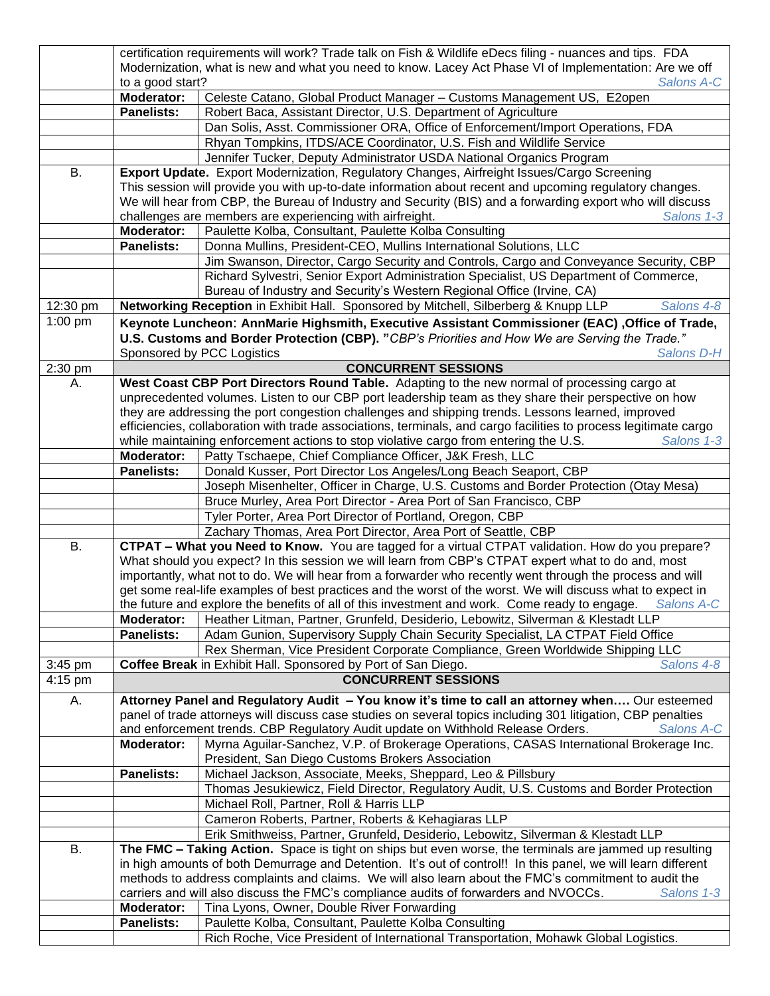|           | certification requirements will work? Trade talk on Fish & Wildlife eDecs filing - nuances and tips. FDA                                                                                                              |                                                                                                                                                                                                                        |  |  |  |  |  |
|-----------|-----------------------------------------------------------------------------------------------------------------------------------------------------------------------------------------------------------------------|------------------------------------------------------------------------------------------------------------------------------------------------------------------------------------------------------------------------|--|--|--|--|--|
|           | Modernization, what is new and what you need to know. Lacey Act Phase VI of Implementation: Are we off                                                                                                                |                                                                                                                                                                                                                        |  |  |  |  |  |
|           | to a good start?<br><b>Salons A-C</b>                                                                                                                                                                                 |                                                                                                                                                                                                                        |  |  |  |  |  |
|           | Moderator:                                                                                                                                                                                                            | Celeste Catano, Global Product Manager - Customs Management US, E2open                                                                                                                                                 |  |  |  |  |  |
|           | <b>Panelists:</b>                                                                                                                                                                                                     | Robert Baca, Assistant Director, U.S. Department of Agriculture                                                                                                                                                        |  |  |  |  |  |
|           |                                                                                                                                                                                                                       | Dan Solis, Asst. Commissioner ORA, Office of Enforcement/Import Operations, FDA                                                                                                                                        |  |  |  |  |  |
|           |                                                                                                                                                                                                                       | Rhyan Tompkins, ITDS/ACE Coordinator, U.S. Fish and Wildlife Service                                                                                                                                                   |  |  |  |  |  |
|           |                                                                                                                                                                                                                       |                                                                                                                                                                                                                        |  |  |  |  |  |
| В.        |                                                                                                                                                                                                                       | Jennifer Tucker, Deputy Administrator USDA National Organics Program<br>Export Update. Export Modernization, Regulatory Changes, Airfreight Issues/Cargo Screening                                                     |  |  |  |  |  |
|           |                                                                                                                                                                                                                       | This session will provide you with up-to-date information about recent and upcoming regulatory changes.                                                                                                                |  |  |  |  |  |
|           |                                                                                                                                                                                                                       | We will hear from CBP, the Bureau of Industry and Security (BIS) and a forwarding export who will discuss                                                                                                              |  |  |  |  |  |
|           |                                                                                                                                                                                                                       | challenges are members are experiencing with airfreight.<br>Salons 1-3                                                                                                                                                 |  |  |  |  |  |
|           | Moderator:                                                                                                                                                                                                            | Paulette Kolba, Consultant, Paulette Kolba Consulting                                                                                                                                                                  |  |  |  |  |  |
|           | <b>Panelists:</b>                                                                                                                                                                                                     | Donna Mullins, President-CEO, Mullins International Solutions, LLC                                                                                                                                                     |  |  |  |  |  |
|           |                                                                                                                                                                                                                       | Jim Swanson, Director, Cargo Security and Controls, Cargo and Conveyance Security, CBP                                                                                                                                 |  |  |  |  |  |
|           |                                                                                                                                                                                                                       | Richard Sylvestri, Senior Export Administration Specialist, US Department of Commerce,                                                                                                                                 |  |  |  |  |  |
|           |                                                                                                                                                                                                                       | Bureau of Industry and Security's Western Regional Office (Irvine, CA)                                                                                                                                                 |  |  |  |  |  |
| 12:30 pm  |                                                                                                                                                                                                                       | Networking Reception in Exhibit Hall. Sponsored by Mitchell, Silberberg & Knupp LLP<br>Salons 4-8                                                                                                                      |  |  |  |  |  |
| 1:00 pm   |                                                                                                                                                                                                                       |                                                                                                                                                                                                                        |  |  |  |  |  |
|           |                                                                                                                                                                                                                       | Keynote Luncheon: AnnMarie Highsmith, Executive Assistant Commissioner (EAC) , Office of Trade,                                                                                                                        |  |  |  |  |  |
|           |                                                                                                                                                                                                                       | U.S. Customs and Border Protection (CBP). "CBP's Priorities and How We are Serving the Trade."                                                                                                                         |  |  |  |  |  |
|           |                                                                                                                                                                                                                       | Sponsored by PCC Logistics<br>Salons D-H                                                                                                                                                                               |  |  |  |  |  |
| 2:30 pm   |                                                                                                                                                                                                                       | <b>CONCURRENT SESSIONS</b>                                                                                                                                                                                             |  |  |  |  |  |
| А.        |                                                                                                                                                                                                                       | West Coast CBP Port Directors Round Table. Adapting to the new normal of processing cargo at                                                                                                                           |  |  |  |  |  |
|           |                                                                                                                                                                                                                       | unprecedented volumes. Listen to our CBP port leadership team as they share their perspective on how                                                                                                                   |  |  |  |  |  |
|           |                                                                                                                                                                                                                       | they are addressing the port congestion challenges and shipping trends. Lessons learned, improved                                                                                                                      |  |  |  |  |  |
|           |                                                                                                                                                                                                                       | efficiencies, collaboration with trade associations, terminals, and cargo facilities to process legitimate cargo<br>while maintaining enforcement actions to stop violative cargo from entering the U.S.<br>Salons 1-3 |  |  |  |  |  |
|           | Moderator:                                                                                                                                                                                                            | Patty Tschaepe, Chief Compliance Officer, J&K Fresh, LLC                                                                                                                                                               |  |  |  |  |  |
|           | <b>Panelists:</b>                                                                                                                                                                                                     | Donald Kusser, Port Director Los Angeles/Long Beach Seaport, CBP                                                                                                                                                       |  |  |  |  |  |
|           |                                                                                                                                                                                                                       | Joseph Misenhelter, Officer in Charge, U.S. Customs and Border Protection (Otay Mesa)                                                                                                                                  |  |  |  |  |  |
|           |                                                                                                                                                                                                                       | Bruce Murley, Area Port Director - Area Port of San Francisco, CBP                                                                                                                                                     |  |  |  |  |  |
|           |                                                                                                                                                                                                                       | Tyler Porter, Area Port Director of Portland, Oregon, CBP                                                                                                                                                              |  |  |  |  |  |
|           |                                                                                                                                                                                                                       | Zachary Thomas, Area Port Director, Area Port of Seattle, CBP                                                                                                                                                          |  |  |  |  |  |
| В.        |                                                                                                                                                                                                                       | <b>CTPAT - What you Need to Know.</b> You are tagged for a virtual CTPAT validation. How do you prepare?                                                                                                               |  |  |  |  |  |
|           | What should you expect? In this session we will learn from CBP's CTPAT expert what to do and, most                                                                                                                    |                                                                                                                                                                                                                        |  |  |  |  |  |
|           |                                                                                                                                                                                                                       | importantly, what not to do. We will hear from a forwarder who recently went through the process and will                                                                                                              |  |  |  |  |  |
|           |                                                                                                                                                                                                                       | get some real-life examples of best practices and the worst of the worst. We will discuss what to expect in                                                                                                            |  |  |  |  |  |
|           |                                                                                                                                                                                                                       | the future and explore the benefits of all of this investment and work. Come ready to engage. Salons A-C                                                                                                               |  |  |  |  |  |
|           | Moderator:                                                                                                                                                                                                            | Heather Litman, Partner, Grunfeld, Desiderio, Lebowitz, Silverman & Klestadt LLP                                                                                                                                       |  |  |  |  |  |
|           | <b>Panelists:</b>                                                                                                                                                                                                     | Adam Gunion, Supervisory Supply Chain Security Specialist, LA CTPAT Field Office                                                                                                                                       |  |  |  |  |  |
|           |                                                                                                                                                                                                                       | Rex Sherman, Vice President Corporate Compliance, Green Worldwide Shipping LLC                                                                                                                                         |  |  |  |  |  |
| $3:45$ pm |                                                                                                                                                                                                                       | Salons 4-8<br>Coffee Break in Exhibit Hall. Sponsored by Port of San Diego.                                                                                                                                            |  |  |  |  |  |
| 4:15 pm   |                                                                                                                                                                                                                       | <b>CONCURRENT SESSIONS</b>                                                                                                                                                                                             |  |  |  |  |  |
| Α.        |                                                                                                                                                                                                                       | Attorney Panel and Regulatory Audit - You know it's time to call an attorney when Our esteemed                                                                                                                         |  |  |  |  |  |
|           |                                                                                                                                                                                                                       | panel of trade attorneys will discuss case studies on several topics including 301 litigation, CBP penalties                                                                                                           |  |  |  |  |  |
|           |                                                                                                                                                                                                                       | and enforcement trends. CBP Regulatory Audit update on Withhold Release Orders.<br><b>Salons A-C</b>                                                                                                                   |  |  |  |  |  |
|           | Moderator:                                                                                                                                                                                                            | Myrna Aguilar-Sanchez, V.P. of Brokerage Operations, CASAS International Brokerage Inc.                                                                                                                                |  |  |  |  |  |
|           |                                                                                                                                                                                                                       | President, San Diego Customs Brokers Association                                                                                                                                                                       |  |  |  |  |  |
|           | Panelists:                                                                                                                                                                                                            | Michael Jackson, Associate, Meeks, Sheppard, Leo & Pillsbury                                                                                                                                                           |  |  |  |  |  |
|           |                                                                                                                                                                                                                       | Thomas Jesukiewicz, Field Director, Regulatory Audit, U.S. Customs and Border Protection                                                                                                                               |  |  |  |  |  |
|           |                                                                                                                                                                                                                       | Michael Roll, Partner, Roll & Harris LLP                                                                                                                                                                               |  |  |  |  |  |
|           |                                                                                                                                                                                                                       | Cameron Roberts, Partner, Roberts & Kehagiaras LLP                                                                                                                                                                     |  |  |  |  |  |
|           |                                                                                                                                                                                                                       | Erik Smithweiss, Partner, Grunfeld, Desiderio, Lebowitz, Silverman & Klestadt LLP                                                                                                                                      |  |  |  |  |  |
| Β.        |                                                                                                                                                                                                                       |                                                                                                                                                                                                                        |  |  |  |  |  |
|           | The FMC - Taking Action. Space is tight on ships but even worse, the terminals are jammed up resulting                                                                                                                |                                                                                                                                                                                                                        |  |  |  |  |  |
|           | in high amounts of both Demurrage and Detention. It's out of control!! In this panel, we will learn different<br>methods to address complaints and claims. We will also learn about the FMC's commitment to audit the |                                                                                                                                                                                                                        |  |  |  |  |  |
|           | carriers and will also discuss the FMC's compliance audits of forwarders and NVOCCs.<br>Salons 1-3                                                                                                                    |                                                                                                                                                                                                                        |  |  |  |  |  |
|           | Moderator:                                                                                                                                                                                                            | Tina Lyons, Owner, Double River Forwarding                                                                                                                                                                             |  |  |  |  |  |
|           | <b>Panelists:</b>                                                                                                                                                                                                     | Paulette Kolba, Consultant, Paulette Kolba Consulting                                                                                                                                                                  |  |  |  |  |  |
|           |                                                                                                                                                                                                                       | Rich Roche, Vice President of International Transportation, Mohawk Global Logistics.                                                                                                                                   |  |  |  |  |  |
|           |                                                                                                                                                                                                                       |                                                                                                                                                                                                                        |  |  |  |  |  |